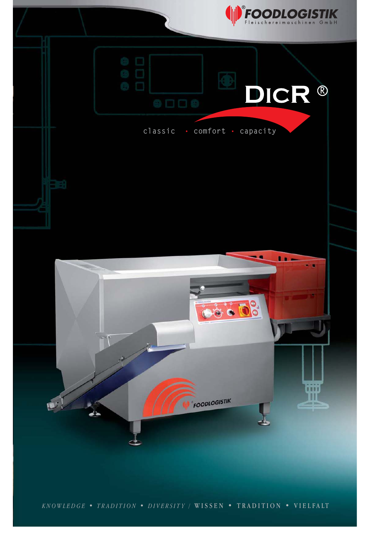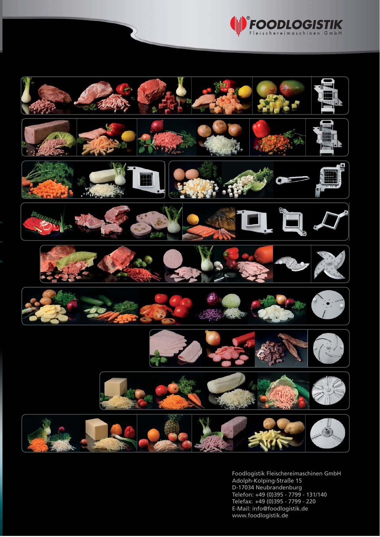



Foodlogistik Fleischereimaschinen GmbH Adolph-Kolping-Straße 15 D-17034 Neubrandenburg Telefon: +49 (0)395 - 7799 - 131/140 Telefax: +49 (0)395 - 7799 - 220 E-Mail: info@foodlogistik.de www.foodlogistik.de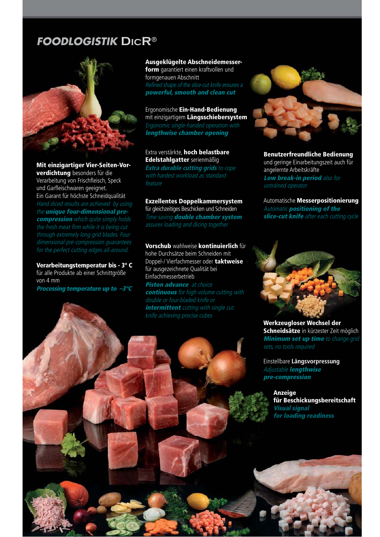### **FOODLOGISTIK DICR**®



Mit einzigartiger Vier-Seiten-Vorverdichtung besonders für die Verarbeitung von Frischfleisch, Speck und Garfleischwaren geeignet. Ein Garant für höchste Schneidqualität Hand diced results are achieved by using the *unique* four-dimensional precompression which quite simply holds the fresh meat firm while it is being cut through extremely long grid blades. Four

Verarbeitungstemperatur bis - 3° C für alle Produkte ab einer Schnittgröße von 4 mm Processing temperature up to –3°C Ausgeklügelte Abschneidemesserform garantiert einen kraftvollen und formgenauen Abschnitt Refined shape of the slice-cut knife ensures a

powerful, smooth and clean cut

Ergonomische Ein-Hand-Bedienung mit einzigartigem Längsschiebersystem Ergonomic single-handed operation with lengthwise chamber opening

Extra verstärkte, hoch belastbare Edelstahlgatter serienmäßig **Extra durable cutting grids** to cope

with hardest workload as standard feature

Exzellentes Doppelkammersystem

für gleichzeitiges Beschicken und Schneiden Time saving **double chamber system** assures loading and dicing together

Vorschub wahlweise kontinuierlich für hohe Durchsätze beim Schneiden mit Doppel-/ Vierfachmesser oder taktweise für ausgezeichnete Qualität bei Einfachmesserbetrieb

Piston advance at choice continuous for high volume cutting with double or four-bladed knife or intermittent cutting with single cut knife achieving precise cubes



Benutzerfreundliche Bedienung und geringe Einarbeitungszeit auch für angelernte Arbeitskräfte Low break-in period also for untrained operator

Automatische Messerpositionierung Automatic positioning of the slice-cut knife after each cutting cycle



Werkzeugloser Wechsel der Schneidsätze in kürzester Zeit möglich **Minimum set up time** to change grid sets, no tools required

Einstellbare **Längsvorpressung** Adjustable lengthwise pre-compression

> Anzeige für Beschickungsbereitschaft Visual signal for loading readiness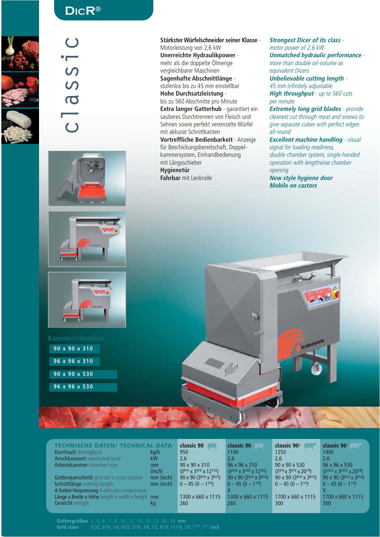

### **DICR**®

classic $\Omega$  $\overline{C}$  $\overline{\bullet}$ 







# **90 x 90 x 310 96 x 96 x 310 90 x 90 x 530**

**96 x 96 x 530**

**Stärkster Würfelschneider seiner Klasse** - Motorleistung von 2,6 kW **Unerreichte Hydraulikpower** -

mehr als die doppelte Ölmenge vergleichbarer Maschinen

**Sagenhafte Abschnittlänge** -

stufenlos bis zu 45 mm einstellbar

**Hohe Durchsatzleistung** -

bis zu 560 Abschnitte pro Minute **Extra langer Gatterhub** - garantiert ein sauberes Durchtrennen von Fleisch und Sehnen sowie perfekt vereinzelte Würfel mit akkurat Schnittkanten

**Vortreffliche Bedienbarkeit** - Anzeige für Beschickungsbereitschaft, Doppelkammersystem, Einhandbedienung mit Längsschieber **Hygienetür Fahrbar** mit Lenkrolle

**Strongest Dicer of its class** motor power of 2,6 kW **Unmatched hydraulic performance** more than double oil-volume as equivalent Dicers

**Unbelievable cutting length** - 45 mm infinitely adjustable **High throughput** - up to 560 cuts per minute

**Extremely long grid blades** - provide cleanest cut through meat and sinews to give separate cubes with perfect edges all-round

**Excellent machine handling** - visual signal for loading readiness, double chamber system, single-handed operation with lengthwise chamber opening

FOODLOGISTIK

**New style hygiene door Mobile on castors**

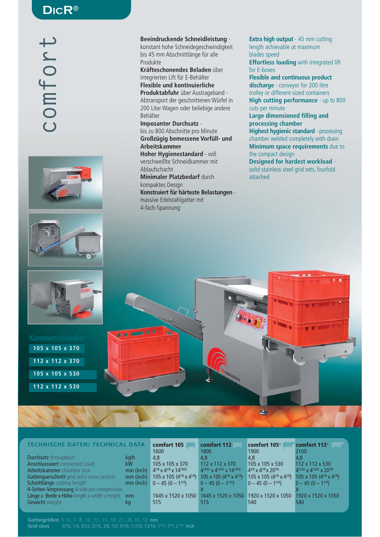#### **DICR**®







# **105 x 105 x 370 112 x 112 x 370 105 x 105 x 530 112 x 112 x 530**

#### **Beeindruckende Schneidleistung** -

konstant hohe Schneidegeschwindigkeit bis 45 mm Abschnittlänge für alle Produkte

**Kräfteschonendes Beladen** über integrierten Lift für E-Behälter

**Flexible und kontinuierliche Produktabfuhr** über Austrageband - Abtransport der geschnittenen Würfel in 200 Liter Wagen oder beliebige andere Behälter

**Imposanter Durchsatz** bis zu 800 Abschnitte pro Minute **Großzügig bemessene Vorfüll- und Arbeitskammer Hoher Hygienestandard** - voll verschweißte Schneidkammer mit

Ablaufschacht **Minimaler Platzbedarf** durch kompaktes Design

**Konstruiert für härteste Belastungen**  massive Edelstahlgatter mit 4-fach-Spannung

**Extra high output** - 45 mm cutting length achievable at maximum blades speed **Effortless loading** with integrated lift

for E-boxes **Flexible and continuous product discharge** - conveyor for 200 litre

trolley or different-sized containers **High cutting performance** - up to 800 cuts per minute

**Large dimensioned filling and processing chamber** 

**Highest hygienic standard** - processing chamber welded completely with drain **Minimum space requirements** due to the compact design

**Designed for hardest workload** solid stainless steel grid sets, fourfold attached



| <b>TECHNISCHE DATEN/ TECHNICAL DATA</b>          |           | comfort 105<br>1600                                                                               | comfort 112<br>1800                            | comfort 105+<br>1900                             | comfort 112+<br>2100                             |
|--------------------------------------------------|-----------|---------------------------------------------------------------------------------------------------|------------------------------------------------|--------------------------------------------------|--------------------------------------------------|
| Durchsatz throughput                             | kg/h      | 4.8                                                                                               | 4.8                                            | $ 4,8\rangle$                                    | 4.8                                              |
| Anschlusswert connected Load                     | kW        | 105 x 105 x 370                                                                                   | 112 x 112 x 370                                | 105 x 105 x 530                                  | $112 \times 112 \times 530$                      |
| Arbeitskammer chamber size                       | mm (inch) | $4^{1/8}$ x 4 <sup>1/8</sup> x 14 <sup>19/32</sup>                                                | $4^{13/32} \times 4^{13/32} \times 14^{19/32}$ | $4^{1/8}$ x 4 <sup>1/8</sup> x 20 <sup>7/8</sup> | 413/32 x 413/32 x 207/8                          |
| Gatterquerschnitt grid set's cross section       | mm (inch) | 105 x 105 (4 <sup>1/8</sup> x 4 <sup>1/8</sup> ) 105 x 105 (4 <sup>1/8</sup> x 4 <sup>1/8</sup> ) |                                                | 105 x 105 (4 $1/8$ x 4 $1/8$ )                   | 105 x 105 (4 <sup>1/8</sup> x 4 <sup>1/8</sup> ) |
| Schnittlänge cutting length                      |           | mm (inch) $0 - 45 (0 - 1^{3/4})$                                                                  | $0 - 45 (0 - 1^{3/4})$                         | $0 - 45 (0 - 1^{3/4})$                           | $0 - 45 (0 - 13/4)$                              |
| 4-Seiten-Vorpressung 4-side pre-compression      |           |                                                                                                   |                                                |                                                  |                                                  |
| Länge x Breite x Höhe length x width x height mm |           |                                                                                                   | 1645 x 1520 x 1050 1645 x 1520 x 1050          | $1920 \times 1520 \times 1050$                   | 1920 x 1520 x 1050                               |
| <b>Gewicht</b> weight                            | kq        | 515                                                                                               | 515                                            | 540                                              | 540                                              |
|                                                  |           |                                                                                                   |                                                |                                                  |                                                  |

Gattergrößen 5 , 6 , 7 , 8 , 10 , 13 , 15 , 18 , 21 , 26, 35 , 52 **mm** Grid sizes 3/16, 1/4, 9/32, 5/16, 3/8, 1/2, 9/16, 11/16, 13/16, 11/32, 13/8, 21/32 **inch**